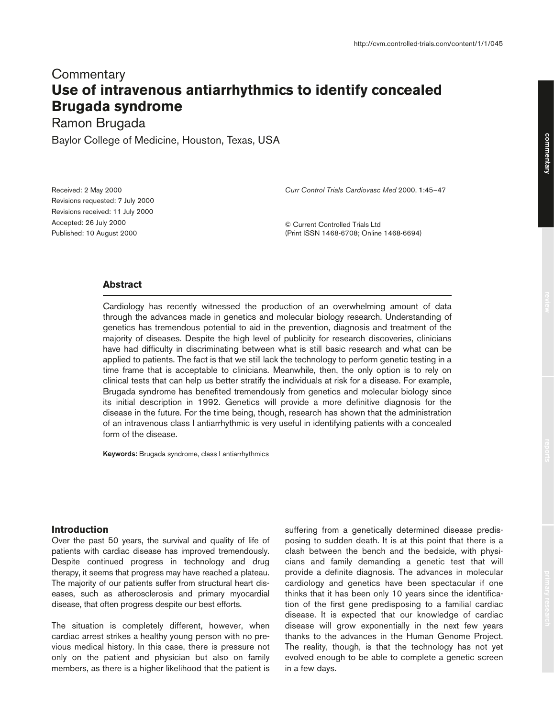# **Commentary Use of intravenous antiarrhythmics to identify concealed Brugada syndrome**

Ramon Brugada

Baylor College of Medicine, Houston, Texas, USA

Received: 2 May 2000 Revisions requested: 7 July 2000 Revisions received: 11 July 2000 Accepted: 26 July 2000 Published: 10 August 2000

*Curr Control Trials Cardiovasc Med* 2000, **1**:45–47

© Current Controlled Trials Ltd (Print ISSN 1468-6708; Online 1468-6694)

# **Abstract**

Cardiology has recently witnessed the production of an overwhelming amount of data through the advances made in genetics and molecular biology research. Understanding of genetics has tremendous potential to aid in the prevention, diagnosis and treatment of the majority of diseases. Despite the high level of publicity for research discoveries, clinicians have had difficulty in discriminating between what is still basic research and what can be applied to patients. The fact is that we still lack the technology to perform genetic testing in a time frame that is acceptable to clinicians. Meanwhile, then, the only option is to rely on clinical tests that can help us better stratify the individuals at risk for a disease. For example, Brugada syndrome has benefited tremendously from genetics and molecular biology since its initial description in 1992. Genetics will provide a more definitive diagnosis for the disease in the future. For the time being, though, research has shown that the administration of an intravenous class I antiarrhythmic is very useful in identifying patients with a concealed form of the disease.

**Keywords:** Brugada syndrome, class I antiarrhythmics

# **Introduction**

Over the past 50 years, the survival and quality of life of patients with cardiac disease has improved tremendously. Despite continued progress in technology and drug therapy, it seems that progress may have reached a plateau. The majority of our patients suffer from structural heart diseases, such as atherosclerosis and primary myocardial disease, that often progress despite our best efforts.

The situation is completely different, however, when cardiac arrest strikes a healthy young person with no previous medical history. In this case, there is pressure not only on the patient and physician but also on family members, as there is a higher likelihood that the patient is suffering from a genetically determined disease predisposing to sudden death. It is at this point that there is a clash between the bench and the bedside, with physicians and family demanding a genetic test that will provide a definite diagnosis. The advances in molecular cardiology and genetics have been spectacular if one thinks that it has been only 10 years since the identification of the first gene predisposing to a familial cardiac disease. It is expected that our knowledge of cardiac disease will grow exponentially in the next few years thanks to the advances in the Human Genome Project. The reality, though, is that the technology has not yet evolved enough to be able to complete a genetic screen in a few days.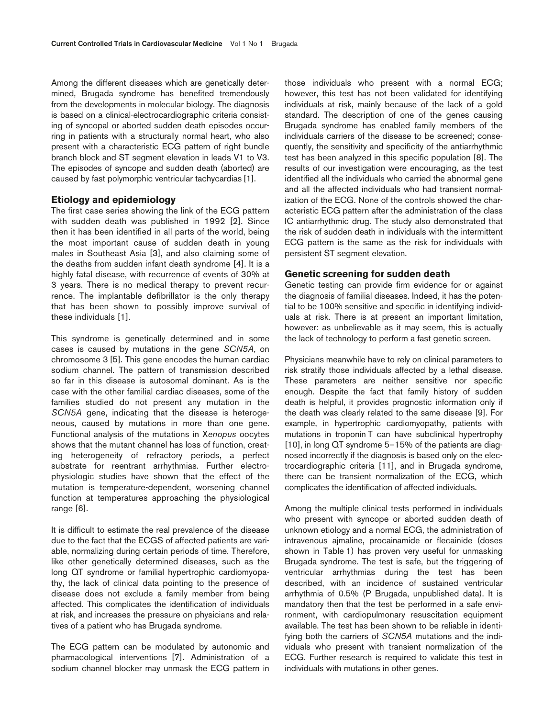Among the different diseases which are genetically determined, Brugada syndrome has benefited tremendously from the developments in molecular biology. The diagnosis is based on a clinical-electrocardiographic criteria consisting of syncopal or aborted sudden death episodes occurring in patients with a structurally normal heart, who also present with a characteristic ECG pattern of right bundle branch block and ST segment elevation in leads V1 to V3. The episodes of syncope and sudden death (aborted) are caused by fast polymorphic ventricular tachycardias [1].

### **Etiology and epidemiology**

The first case series showing the link of the ECG pattern with sudden death was published in 1992 [2]. Since then it has been identified in all parts of the world, being the most important cause of sudden death in young males in Southeast Asia [3], and also claiming some of the deaths from sudden infant death syndrome [4]. It is a highly fatal disease, with recurrence of events of 30% at 3 years. There is no medical therapy to prevent recurrence. The implantable defibrillator is the only therapy that has been shown to possibly improve survival of these individuals [1].

This syndrome is genetically determined and in some cases is caused by mutations in the gene *SCN5A*, on chromosome 3 [5]. This gene encodes the human cardiac sodium channel. The pattern of transmission described so far in this disease is autosomal dominant. As is the case with the other familial cardiac diseases, some of the families studied do not present any mutation in the *SCN5A* gene, indicating that the disease is heterogeneous, caused by mutations in more than one gene. Functional analysis of the mutations in X*enopus* oocytes shows that the mutant channel has loss of function, creating heterogeneity of refractory periods, a perfect substrate for reentrant arrhythmias. Further electrophysiologic studies have shown that the effect of the mutation is temperature-dependent, worsening channel function at temperatures approaching the physiological range [6].

It is difficult to estimate the real prevalence of the disease due to the fact that the ECGS of affected patients are variable, normalizing during certain periods of time. Therefore, like other genetically determined diseases, such as the long QT syndrome or familial hypertrophic cardiomyopathy, the lack of clinical data pointing to the presence of disease does not exclude a family member from being affected. This complicates the identification of individuals at risk, and increases the pressure on physicians and relatives of a patient who has Brugada syndrome.

The ECG pattern can be modulated by autonomic and pharmacological interventions [7]. Administration of a sodium channel blocker may unmask the ECG pattern in

those individuals who present with a normal ECG; however, this test has not been validated for identifying individuals at risk, mainly because of the lack of a gold standard. The description of one of the genes causing Brugada syndrome has enabled family members of the individuals carriers of the disease to be screened; consequently, the sensitivity and specificity of the antiarrhythmic test has been analyzed in this specific population [8]. The results of our investigation were encouraging, as the test identified all the individuals who carried the abnormal gene and all the affected individuals who had transient normalization of the ECG. None of the controls showed the characteristic ECG pattern after the administration of the class IC antiarrhythmic drug. The study also demonstrated that the risk of sudden death in individuals with the intermittent ECG pattern is the same as the risk for individuals with persistent ST segment elevation.

### **Genetic screening for sudden death**

Genetic testing can provide firm evidence for or against the diagnosis of familial diseases. Indeed, it has the potential to be 100% sensitive and specific in identifying individuals at risk. There is at present an important limitation, however: as unbelievable as it may seem, this is actually the lack of technology to perform a fast genetic screen.

Physicians meanwhile have to rely on clinical parameters to risk stratify those individuals affected by a lethal disease. These parameters are neither sensitive nor specific enough. Despite the fact that family history of sudden death is helpful, it provides prognostic information only if the death was clearly related to the same disease [9]. For example, in hypertrophic cardiomyopathy, patients with mutations in troponin T can have subclinical hypertrophy [10], in long QT syndrome 5–15% of the patients are diagnosed incorrectly if the diagnosis is based only on the electrocardiographic criteria [11], and in Brugada syndrome, there can be transient normalization of the ECG, which complicates the identification of affected individuals.

Among the multiple clinical tests performed in individuals who present with syncope or aborted sudden death of unknown etiology and a normal ECG, the administration of intravenous ajmaline, procainamide or flecainide (doses shown in Table 1) has proven very useful for unmasking Brugada syndrome. The test is safe, but the triggering of ventricular arrhythmias during the test has been described, with an incidence of sustained ventricular arrhythmia of 0.5% (P Brugada, unpublished data). It is mandatory then that the test be performed in a safe environment, with cardiopulmonary resuscitation equipment available. The test has been shown to be reliable in identifying both the carriers of *SCN5A* mutations and the individuals who present with transient normalization of the ECG. Further research is required to validate this test in individuals with mutations in other genes.